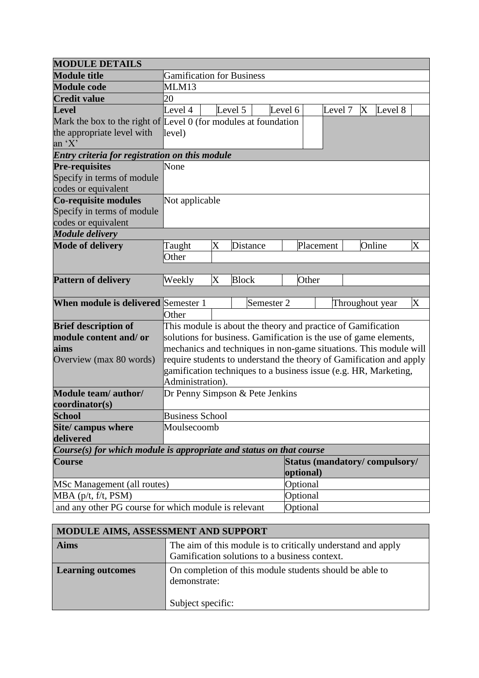| <b>MODULE DETAILS</b>                                                 |                                                                     |                         |                 |                       |         |                               |         |   |                 |                       |
|-----------------------------------------------------------------------|---------------------------------------------------------------------|-------------------------|-----------------|-----------------------|---------|-------------------------------|---------|---|-----------------|-----------------------|
| <b>Module title</b>                                                   | <b>Gamification for Business</b>                                    |                         |                 |                       |         |                               |         |   |                 |                       |
| <b>Module code</b>                                                    | <b>MLM13</b>                                                        |                         |                 |                       |         |                               |         |   |                 |                       |
| <b>Credit value</b>                                                   | 20                                                                  |                         |                 |                       |         |                               |         |   |                 |                       |
| <b>Level</b>                                                          | Level 4                                                             |                         | Level 5         |                       | Level 6 |                               | Level 7 | X | Level 8         |                       |
| Mark the box to the right of Level 0 (for modules at foundation       |                                                                     |                         |                 |                       |         |                               |         |   |                 |                       |
| the appropriate level with                                            | level)                                                              |                         |                 |                       |         |                               |         |   |                 |                       |
| an $'X'$                                                              |                                                                     |                         |                 |                       |         |                               |         |   |                 |                       |
| Entry criteria for registration on this module                        |                                                                     |                         |                 |                       |         |                               |         |   |                 |                       |
| <b>Pre-requisites</b>                                                 | None                                                                |                         |                 |                       |         |                               |         |   |                 |                       |
| Specify in terms of module                                            |                                                                     |                         |                 |                       |         |                               |         |   |                 |                       |
| codes or equivalent                                                   |                                                                     |                         |                 |                       |         |                               |         |   |                 |                       |
| Co-requisite modules                                                  | Not applicable                                                      |                         |                 |                       |         |                               |         |   |                 |                       |
| Specify in terms of module                                            |                                                                     |                         |                 |                       |         |                               |         |   |                 |                       |
| codes or equivalent                                                   |                                                                     |                         |                 |                       |         |                               |         |   |                 |                       |
| <b>Module delivery</b>                                                |                                                                     |                         |                 |                       |         |                               |         |   |                 |                       |
| <b>Mode of delivery</b>                                               | Taught                                                              | $\overline{\mathrm{X}}$ | <b>Distance</b> |                       |         | Placement                     |         |   | Online          | $\overline{X}$        |
|                                                                       | Other                                                               |                         |                 |                       |         |                               |         |   |                 |                       |
|                                                                       |                                                                     |                         |                 |                       |         |                               |         |   |                 |                       |
| <b>Pattern of delivery</b>                                            | Weekly                                                              | $\overline{\text{X}}$   | <b>Block</b>    |                       |         | Other                         |         |   |                 |                       |
|                                                                       |                                                                     |                         |                 |                       |         |                               |         |   |                 |                       |
| <b>When module is delivered Semester 1</b>                            |                                                                     |                         |                 | Semester <sub>2</sub> |         |                               |         |   | Throughout year | $\overline{\text{X}}$ |
|                                                                       | Other                                                               |                         |                 |                       |         |                               |         |   |                 |                       |
| <b>Brief description of</b>                                           | This module is about the theory and practice of Gamification        |                         |                 |                       |         |                               |         |   |                 |                       |
| module content and/or                                                 | solutions for business. Gamification is the use of game elements,   |                         |                 |                       |         |                               |         |   |                 |                       |
| aims                                                                  | mechanics and techniques in non-game situations. This module will   |                         |                 |                       |         |                               |         |   |                 |                       |
| Overview (max 80 words)                                               | require students to understand the theory of Gamification and apply |                         |                 |                       |         |                               |         |   |                 |                       |
|                                                                       | gamification techniques to a business issue (e.g. HR, Marketing,    |                         |                 |                       |         |                               |         |   |                 |                       |
|                                                                       | Administration).                                                    |                         |                 |                       |         |                               |         |   |                 |                       |
| Module team/ author/                                                  | Dr Penny Simpson & Pete Jenkins                                     |                         |                 |                       |         |                               |         |   |                 |                       |
| coordinator(s)                                                        |                                                                     |                         |                 |                       |         |                               |         |   |                 |                       |
| <b>School</b>                                                         | <b>Business School</b>                                              |                         |                 |                       |         |                               |         |   |                 |                       |
| Site/ campus where                                                    | Moulsecoomb                                                         |                         |                 |                       |         |                               |         |   |                 |                       |
| delivered                                                             |                                                                     |                         |                 |                       |         |                               |         |   |                 |                       |
| $Course(s)$ for which module is appropriate and status on that course |                                                                     |                         |                 |                       |         |                               |         |   |                 |                       |
| Course                                                                |                                                                     |                         |                 |                       |         | Status (mandatory/compulsory/ |         |   |                 |                       |
|                                                                       |                                                                     |                         |                 |                       |         | optional)                     |         |   |                 |                       |
| MSc Management (all routes)                                           |                                                                     |                         |                 |                       |         | Optional                      |         |   |                 |                       |
| MBA (p/t, f/t, PSM)                                                   |                                                                     |                         |                 |                       |         | Optional                      |         |   |                 |                       |
| and any other PG course for which module is relevant                  |                                                                     |                         |                 |                       |         | Optional                      |         |   |                 |                       |

| MODULE AIMS, ASSESSMENT AND SUPPORT |                                                                                                               |  |  |  |
|-------------------------------------|---------------------------------------------------------------------------------------------------------------|--|--|--|
| <b>Aims</b>                         | The aim of this module is to critically understand and apply<br>Gamification solutions to a business context. |  |  |  |
| <b>Learning outcomes</b>            | On completion of this module students should be able to<br>demonstrate:<br>Subject specific:                  |  |  |  |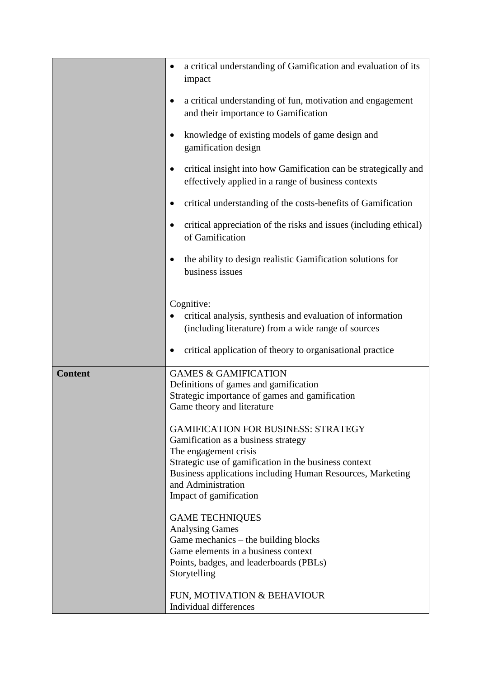|                | a critical understanding of Gamification and evaluation of its<br>٠<br>impact                                                                                                                                                                                                     |  |  |  |
|----------------|-----------------------------------------------------------------------------------------------------------------------------------------------------------------------------------------------------------------------------------------------------------------------------------|--|--|--|
|                | a critical understanding of fun, motivation and engagement<br>$\bullet$<br>and their importance to Gamification                                                                                                                                                                   |  |  |  |
|                | knowledge of existing models of game design and<br>gamification design                                                                                                                                                                                                            |  |  |  |
|                | critical insight into how Gamification can be strategically and<br>effectively applied in a range of business contexts                                                                                                                                                            |  |  |  |
|                | critical understanding of the costs-benefits of Gamification                                                                                                                                                                                                                      |  |  |  |
|                | critical appreciation of the risks and issues (including ethical)<br>of Gamification                                                                                                                                                                                              |  |  |  |
|                | the ability to design realistic Gamification solutions for<br>business issues                                                                                                                                                                                                     |  |  |  |
|                | Cognitive:<br>critical analysis, synthesis and evaluation of information<br>(including literature) from a wide range of sources                                                                                                                                                   |  |  |  |
|                | critical application of theory to organisational practice                                                                                                                                                                                                                         |  |  |  |
| <b>Content</b> | <b>GAMES &amp; GAMIFICATION</b><br>Definitions of games and gamification<br>Strategic importance of games and gamification<br>Game theory and literature                                                                                                                          |  |  |  |
|                | <b>GAMIFICATION FOR BUSINESS: STRATEGY</b><br>Gamification as a business strategy<br>The engagement crisis<br>Strategic use of gamification in the business context<br>Business applications including Human Resources, Marketing<br>and Administration<br>Impact of gamification |  |  |  |
|                | <b>GAME TECHNIQUES</b><br><b>Analysing Games</b><br>Game mechanics - the building blocks<br>Game elements in a business context<br>Points, badges, and leaderboards (PBLs)                                                                                                        |  |  |  |
|                | Storytelling                                                                                                                                                                                                                                                                      |  |  |  |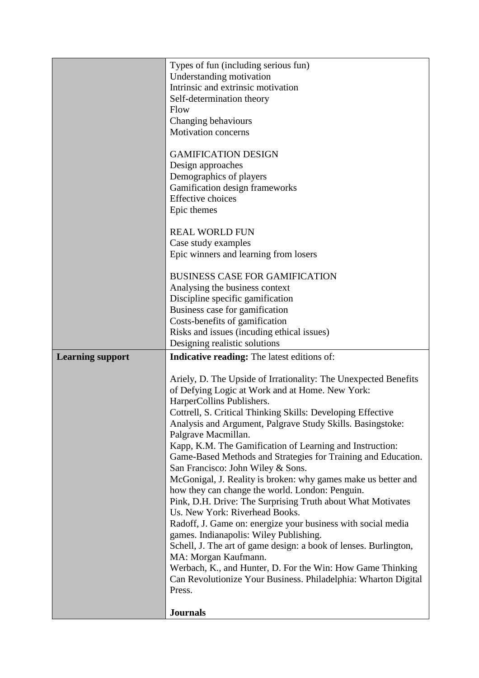|                         | Types of fun (including serious fun)                                              |  |  |  |
|-------------------------|-----------------------------------------------------------------------------------|--|--|--|
|                         | Understanding motivation                                                          |  |  |  |
|                         | Intrinsic and extrinsic motivation                                                |  |  |  |
|                         | Self-determination theory                                                         |  |  |  |
|                         | Flow                                                                              |  |  |  |
|                         | Changing behaviours                                                               |  |  |  |
|                         | Motivation concerns                                                               |  |  |  |
|                         |                                                                                   |  |  |  |
|                         | <b>GAMIFICATION DESIGN</b>                                                        |  |  |  |
|                         | Design approaches                                                                 |  |  |  |
|                         | Demographics of players                                                           |  |  |  |
|                         | Gamification design frameworks                                                    |  |  |  |
|                         | <b>Effective</b> choices                                                          |  |  |  |
|                         | Epic themes                                                                       |  |  |  |
|                         | <b>REAL WORLD FUN</b>                                                             |  |  |  |
|                         |                                                                                   |  |  |  |
|                         | Case study examples<br>Epic winners and learning from losers                      |  |  |  |
|                         |                                                                                   |  |  |  |
|                         | <b>BUSINESS CASE FOR GAMIFICATION</b>                                             |  |  |  |
|                         | Analysing the business context                                                    |  |  |  |
|                         | Discipline specific gamification                                                  |  |  |  |
|                         | Business case for gamification                                                    |  |  |  |
|                         | Costs-benefits of gamification                                                    |  |  |  |
|                         | Risks and issues (incuding ethical issues)                                        |  |  |  |
|                         | Designing realistic solutions                                                     |  |  |  |
| <b>Learning support</b> | <b>Indicative reading:</b> The latest editions of:                                |  |  |  |
|                         |                                                                                   |  |  |  |
|                         |                                                                                   |  |  |  |
|                         | Ariely, D. The Upside of Irrationality: The Unexpected Benefits                   |  |  |  |
|                         | of Defying Logic at Work and at Home. New York:                                   |  |  |  |
|                         | HarperCollins Publishers.                                                         |  |  |  |
|                         | Cottrell, S. Critical Thinking Skills: Developing Effective                       |  |  |  |
|                         | Analysis and Argument, Palgrave Study Skills. Basingstoke:<br>Palgrave Macmillan. |  |  |  |
|                         | Kapp, K.M. The Gamification of Learning and Instruction:                          |  |  |  |
|                         | Game-Based Methods and Strategies for Training and Education.                     |  |  |  |
|                         | San Francisco: John Wiley & Sons.                                                 |  |  |  |
|                         | McGonigal, J. Reality is broken: why games make us better and                     |  |  |  |
|                         | how they can change the world. London: Penguin.                                   |  |  |  |
|                         | Pink, D.H. Drive: The Surprising Truth about What Motivates                       |  |  |  |
|                         | Us. New York: Riverhead Books.                                                    |  |  |  |
|                         | Radoff, J. Game on: energize your business with social media                      |  |  |  |
|                         | games. Indianapolis: Wiley Publishing.                                            |  |  |  |
|                         | Schell, J. The art of game design: a book of lenses. Burlington,                  |  |  |  |
|                         | MA: Morgan Kaufmann.                                                              |  |  |  |
|                         | Werbach, K., and Hunter, D. For the Win: How Game Thinking                        |  |  |  |
|                         | Can Revolutionize Your Business. Philadelphia: Wharton Digital                    |  |  |  |
|                         | Press.                                                                            |  |  |  |
|                         | <b>Journals</b>                                                                   |  |  |  |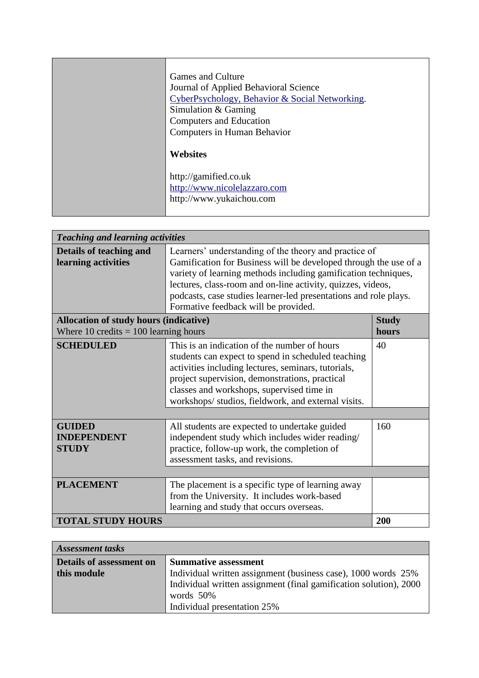| <b>Games and Culture</b><br>Journal of Applied Behavioral Science<br>CyberPsychology, Behavior & Social Networking.<br>Simulation $&$ Gaming<br>Computers and Education |  |  |  |
|-------------------------------------------------------------------------------------------------------------------------------------------------------------------------|--|--|--|
| Computers in Human Behavior                                                                                                                                             |  |  |  |
| <b>Websites</b>                                                                                                                                                         |  |  |  |
| http://gamified.co.uk                                                                                                                                                   |  |  |  |
| http://www.nicolelazzaro.com                                                                                                                                            |  |  |  |
| http://www.yukaichou.com                                                                                                                                                |  |  |  |

| <b>Teaching and learning activities</b>             |                                                                                                                                                                                                                                                                                                                                                                        |     |  |  |  |
|-----------------------------------------------------|------------------------------------------------------------------------------------------------------------------------------------------------------------------------------------------------------------------------------------------------------------------------------------------------------------------------------------------------------------------------|-----|--|--|--|
| Details of teaching and<br>learning activities      | Learners' understanding of the theory and practice of<br>Gamification for Business will be developed through the use of a<br>variety of learning methods including gamification techniques,<br>lectures, class-room and on-line activity, quizzes, videos,<br>podcasts, case studies learner-led presentations and role plays.<br>Formative feedback will be provided. |     |  |  |  |
|                                                     | <b>Allocation of study hours (indicative)</b><br><b>Study</b><br>Where 10 credits $= 100$ learning hours<br>hours                                                                                                                                                                                                                                                      |     |  |  |  |
| <b>SCHEDULED</b>                                    | This is an indication of the number of hours<br>students can expect to spend in scheduled teaching<br>activities including lectures, seminars, tutorials,<br>project supervision, demonstrations, practical<br>classes and workshops, supervised time in<br>workshops/ studios, fieldwork, and external visits.                                                        | 40  |  |  |  |
| <b>GUIDED</b><br><b>INDEPENDENT</b><br><b>STUDY</b> | All students are expected to undertake guided<br>independent study which includes wider reading/<br>practice, follow-up work, the completion of<br>assessment tasks, and revisions.                                                                                                                                                                                    | 160 |  |  |  |
| <b>PLACEMENT</b>                                    | The placement is a specific type of learning away<br>from the University. It includes work-based<br>learning and study that occurs overseas.                                                                                                                                                                                                                           |     |  |  |  |
| <b>TOTAL STUDY HOURS</b>                            |                                                                                                                                                                                                                                                                                                                                                                        | 200 |  |  |  |

| <b>Assessment tasks</b>         |                                                                   |  |  |  |
|---------------------------------|-------------------------------------------------------------------|--|--|--|
| <b>Details of assessment on</b> | <b>Summative assessment</b>                                       |  |  |  |
| this module                     | Individual written assignment (business case), 1000 words 25%     |  |  |  |
|                                 | Individual written assignment (final gamification solution), 2000 |  |  |  |
|                                 | words 50%                                                         |  |  |  |
|                                 | Individual presentation 25%                                       |  |  |  |